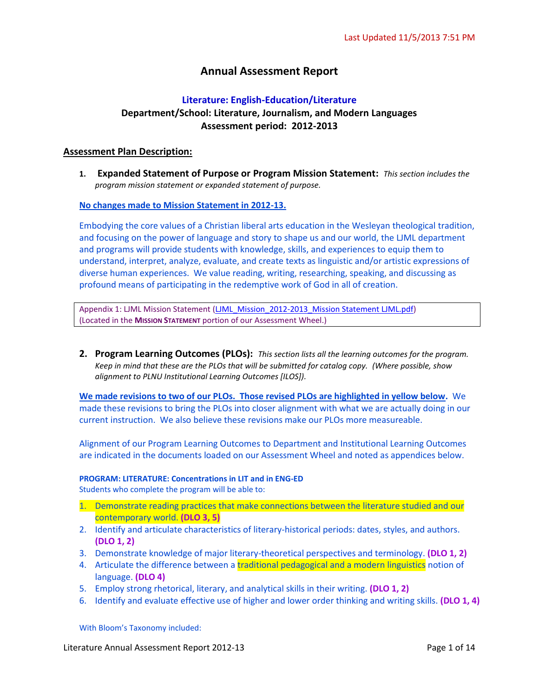# **Annual Assessment Report**

# **Literature: English-Education/Literature Department/School: Literature, Journalism, and Modern Languages Assessment period: 2012-2013**

### **Assessment Plan Description:**

**1. Expanded Statement of Purpose or Program Mission Statement:** *This section includes the program mission statement or expanded statement of purpose.*

### **No changes made to Mission Statement in 2012-13.**

Embodying the core values of a Christian liberal arts education in the Wesleyan theological tradition, and focusing on the power of language and story to shape us and our world, the LJML department and programs will provide students with knowledge, skills, and experiences to equip them to understand, interpret, analyze, evaluate, and create texts as linguistic and/or artistic expressions of diverse human experiences. We value reading, writing, researching, speaking, and discussing as profound means of participating in the redemptive work of God in all of creation.

Appendix 1: LJML Mission Statement [\(LJML\\_Mission\\_2012-2013\\_Mission Statement LJML.pdf\)](https://portal.pointloma.edu/documents/11178/1463624/LJML_Mission_2012-2013_Mission%20Statement%20LJML.pdf) (Located in the **MISSION STATEMENT** portion of our Assessment Wheel.)

**2. Program Learning Outcomes (PLOs):** *This section lists all the learning outcomes for the program. Keep in mind that these are the PLOs that will be submitted for catalog copy. (Where possible, show alignment to PLNU Institutional Learning Outcomes [ILOS]).*

**We made revisions to two of our PLOs. Those revised PLOs are highlighted in yellow below.** We made these revisions to bring the PLOs into closer alignment with what we are actually doing in our current instruction. We also believe these revisions make our PLOs more measureable.

Alignment of our Program Learning Outcomes to Department and Institutional Learning Outcomes are indicated in the documents loaded on our Assessment Wheel and noted as appendices below.

# **PROGRAM: LITERATURE: Concentrations in LIT and in ENG-ED**

Students who complete the program will be able to:

- 1. Demonstrate reading practices that make connections between the literature studied and our contemporary world. **(DLO 3, 5)**
- 2. Identify and articulate characteristics of literary-historical periods: dates, styles, and authors. **(DLO 1, 2)**
- 3. Demonstrate knowledge of major literary-theoretical perspectives and terminology. **(DLO 1, 2)**
- 4. Articulate the difference between a traditional pedagogical and a modern linguistics notion of language. **(DLO 4)**
- 5. Employ strong rhetorical, literary, and analytical skills in their writing. **(DLO 1, 2)**
- 6. Identify and evaluate effective use of higher and lower order thinking and writing skills. **(DLO 1, 4)**

With Bloom's Taxonomy included: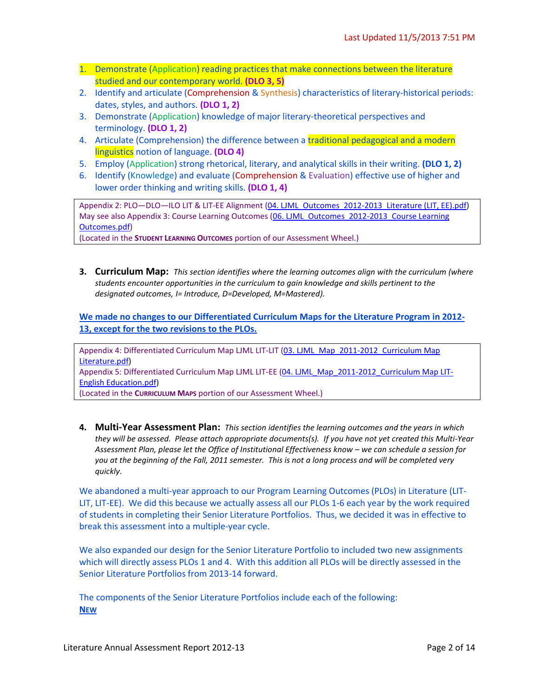- 1. Demonstrate (Application) reading practices that make connections between the literature studied and our contemporary world. **(DLO 3, 5)**
- 2. Identify and articulate (Comprehension & Synthesis) characteristics of literary-historical periods: dates, styles, and authors. **(DLO 1, 2)**
- 3. Demonstrate (Application) knowledge of major literary-theoretical perspectives and terminology. **(DLO 1, 2)**
- 4. Articulate (Comprehension) the difference between a traditional pedagogical and a modern linguistics notion of language. **(DLO 4)**
- 5. Employ (Application) strong rhetorical, literary, and analytical skills in their writing. **(DLO 1, 2)**
- 6. Identify (Knowledge) and evaluate (Comprehension & Evaluation) effective use of higher and lower order thinking and writing skills. **(DLO 1, 4)**

Appendix 2: PLO-DLO-ILO LIT & LIT-EE Alignment [\(04. LJML\\_Outcomes\\_2012-2013\\_Literature \(LIT, EE\).pdf\)](https://portal.pointloma.edu/documents/11178/1463625/04.%20LJML_Outcomes_2012-2013_Literature%20%28LIT%2c%20EE%29.pdf) May see also Appendix 3: Course Learning Outcomes (06. LJML\_Outcomes\_2012-2013\_Course Learning [Outcomes.pdf\)](https://portal.pointloma.edu/documents/11178/1463625/06.%20LJML_Outcomes_2012-2013_Course%20Learning%20Outcomes.pdf)

(Located in the **STUDENT LEARNING OUTCOMES** portion of our Assessment Wheel.)

**3. Curriculum Map:** *This section identifies where the learning outcomes align with the curriculum (where students encounter opportunities in the curriculum to gain knowledge and skills pertinent to the designated outcomes, I= Introduce, D=Developed, M=Mastered).*

**We made no changes to our Differentiated Curriculum Maps for the Literature Program in 2012- 13, except for the two revisions to the PLOs.**

Appendix 4: Differentiated Curriculum Map LJML LIT-LIT (03. LJML\_Map\_2011-2012\_Curriculum Map [Literature.pdf\)](https://portal.pointloma.edu/documents/11178/1463626/03.%20LJML_Map_2011-2012_Curriculum%20Map%20Literature.pdf) Appendix 5: Differentiated Curriculum Map LJML LIT-EE [\(04. LJML\\_Map\\_2011-2012\\_Curriculum Map LIT-](https://portal.pointloma.edu/documents/11178/1463626/04.%20LJML_Map_2011-2012_Curriculum%20Map%20LIT-English%20Education.pdf)[English Education.pdf\)](https://portal.pointloma.edu/documents/11178/1463626/04.%20LJML_Map_2011-2012_Curriculum%20Map%20LIT-English%20Education.pdf)

(Located in the **CURRICULUM MAPS** portion of our Assessment Wheel.)

**4. Multi-Year Assessment Plan:** *This section identifies the learning outcomes and the years in which they will be assessed. Please attach appropriate documents(s). If you have not yet created this Multi-Year*  Assessment Plan, please let the Office of Institutional Effectiveness know - we can schedule a session for *you at the beginning of the Fall, 2011 semester. This is not a long process and will be completed very quickly*.

We abandoned a multi-year approach to our Program Learning Outcomes (PLOs) in Literature (LIT-LIT, LIT-EE). We did this because we actually assess all our PLOs 1-6 each year by the work required of students in completing their Senior Literature Portfolios. Thus, we decided it was in effective to break this assessment into a multiple-year cycle.

We also expanded our design for the Senior Literature Portfolio to included two new assignments which will directly assess PLOs 1 and 4. With this addition all PLOs will be directly assessed in the Senior Literature Portfolios from 2013-14 forward.

The components of the Senior Literature Portfolios include each of the following: **NEW**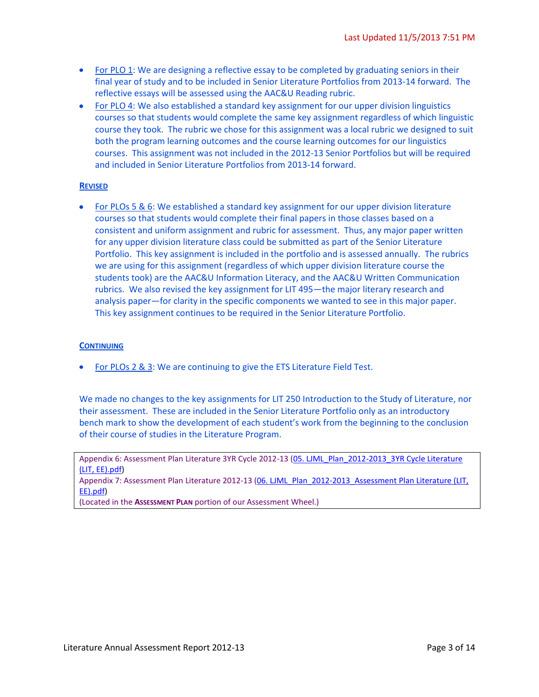- For PLO 1: We are designing a reflective essay to be completed by graduating seniors in their final year of study and to be included in Senior Literature Portfolios from 2013-14 forward. The reflective essays will be assessed using the AAC&U Reading rubric.
- For PLO 4: We also established a standard key assignment for our upper division linguistics courses so that students would complete the same key assignment regardless of which linguistic course they took. The rubric we chose for this assignment was a local rubric we designed to suit both the program learning outcomes and the course learning outcomes for our linguistics courses. This assignment was not included in the 2012-13 Senior Portfolios but will be required and included in Senior Literature Portfolios from 2013-14 forward.

### **REVISED**

• For PLOs 5 & 6: We established a standard key assignment for our upper division literature courses so that students would complete their final papers in those classes based on a consistent and uniform assignment and rubric for assessment. Thus, any major paper written for any upper division literature class could be submitted as part of the Senior Literature Portfolio. This key assignment is included in the portfolio and is assessed annually. The rubrics we are using for this assignment (regardless of which upper division literature course the students took) are the AAC&U Information Literacy, and the AAC&U Written Communication rubrics. We also revised the key assignment for LIT 495—the major literary research and analysis paper—for clarity in the specific components we wanted to see in this major paper. This key assignment continues to be required in the Senior Literature Portfolio.

#### **CONTINUING**

For PLOs 2 & 3: We are continuing to give the ETS Literature Field Test.

We made no changes to the key assignments for LIT 250 Introduction to the Study of Literature, nor their assessment. These are included in the Senior Literature Portfolio only as an introductory bench mark to show the development of each student's work from the beginning to the conclusion of their course of studies in the Literature Program.

Appendix 6: Assessment Plan Literature 3YR Cycle 2012-13 (05. LJML\_Plan\_2012-2013\_3YR Cycle Literature [\(LIT, EE\).pdf\)](https://portal.pointloma.edu/documents/11178/1463627/05.%20LJML_Plan_2012-2013_3YR%20Cycle%20Literature%20%28LIT%2c%20EE%29.pdf)

Appendix 7: Assessment Plan Literature 2012-13 (06. LJML\_Plan\_2012-2013\_Assessment Plan Literature (LIT, [EE\).pdf\)](https://portal.pointloma.edu/documents/11178/1463627/06.%20LJML_Plan_2012-2013_Assessment%20Plan%20Literature%20%28LIT%2c%20EE%29.pdf)

(Located in the **ASSESSMENT PLAN** portion of our Assessment Wheel.)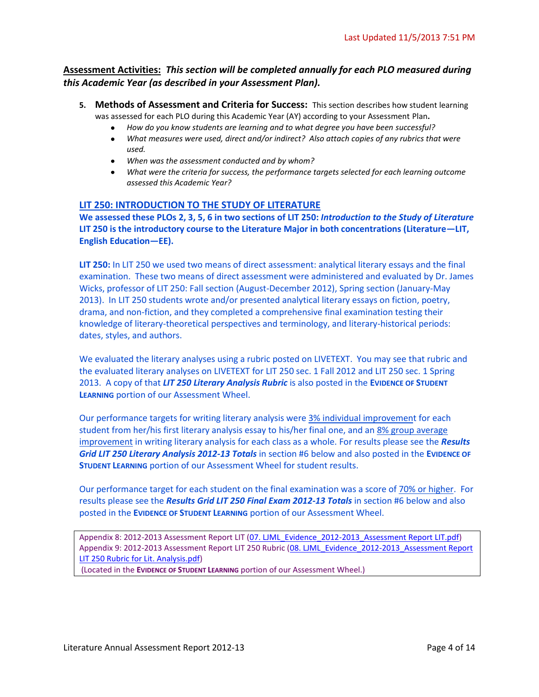## **Assessment Activities:** *This section will be completed annually for each PLO measured during this Academic Year (as described in your Assessment Plan).*

- **5. Methods of Assessment and Criteria for Success:** This section describes how student learning was assessed for each PLO during this Academic Year (AY) according to your Assessment Plan**.** 
	- *How do you know students are learning and to what degree you have been successful?*
	- $\bullet$ *What measures were used, direct and/or indirect? Also attach copies of any rubrics that were used.*
	- *When was the assessment conducted and by whom?*
	- *What were the criteria for success, the performance targets selected for each learning outcome assessed this Academic Year?*

### **LIT 250: INTRODUCTION TO THE STUDY OF LITERATURE**

**We assessed these PLOs 2, 3, 5, 6 in two sections of LIT 250:** *Introduction to the Study of Literature* **LIT 250 is the introductory course to the Literature Major in both concentrations (Literature—LIT, English Education—EE).** 

**LIT 250:** In LIT 250 we used two means of direct assessment: analytical literary essays and the final examination. These two means of direct assessment were administered and evaluated by Dr. James Wicks, professor of LIT 250: Fall section (August-December 2012), Spring section (January-May 2013). In LIT 250 students wrote and/or presented analytical literary essays on fiction, poetry, drama, and non-fiction, and they completed a comprehensive final examination testing their knowledge of literary-theoretical perspectives and terminology, and literary-historical periods: dates, styles, and authors.

We evaluated the literary analyses using a rubric posted on LIVETEXT. You may see that rubric and the evaluated literary analyses on LIVETEXT for LIT 250 sec. 1 Fall 2012 and LIT 250 sec. 1 Spring 2013. A copy of that *LIT 250 Literary Analysis Rubric* is also posted in the **EVIDENCE OF STUDENT LEARNING** portion of our Assessment Wheel.

Our performance targets for writing literary analysis were 3% individual improvement for each student from her/his first literary analysis essay to his/her final one, and an 8% group average improvement in writing literary analysis for each class as a whole. For results please see the *Results Grid LIT 250 Literary Analysis 2012-13 Totals* in section #6 below and also posted in the **EVIDENCE OF STUDENT LEARNING** portion of our Assessment Wheel for student results.

Our performance target for each student on the final examination was a score of 70% or higher. For results please see the *Results Grid LIT 250 Final Exam 2012-13 Totals* in section #6 below and also posted in the **EVIDENCE OF STUDENT LEARNING** portion of our Assessment Wheel.

Appendix 8: 2012-2013 Assessment Report LIT [\(07. LJML\\_Evidence\\_2012-2013\\_Assessment Report LIT.pdf\)](https://portal.pointloma.edu/documents/11178/1463628/07.%20LJML_Evidence_2012-2013_Assessment%20Report%20LIT.pdf) Appendix 9: 2012-2013 Assessment Report LIT 250 Rubric (08. LJML Evidence 2012-2013 Assessment Report [LIT 250 Rubric for Lit. Analysis.pdf\)](https://portal.pointloma.edu/documents/11178/1463628/08.%20LJML_Evidence_2012-2013_Assessment%20Report%20LIT%20250%20Rubric%20for%20Lit.%20Analysis.pdf)

(Located in the **EVIDENCE OF STUDENT LEARNING** portion of our Assessment Wheel.)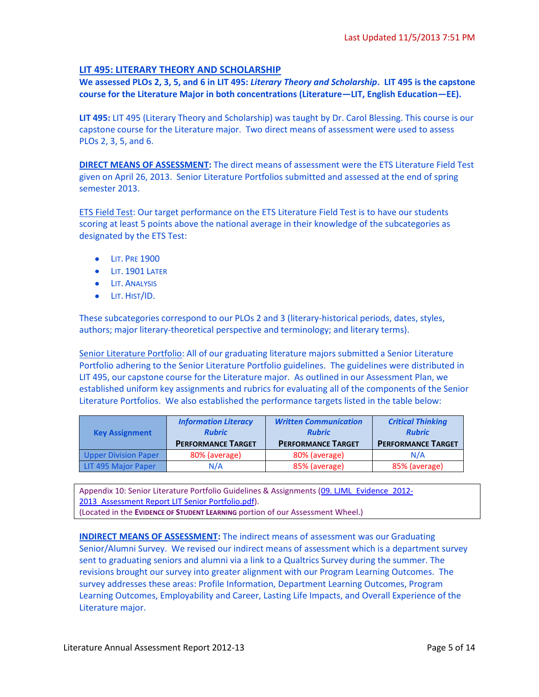### **LIT 495: LITERARY THEORY AND SCHOLARSHIP**

**We assessed PLOs 2, 3, 5, and 6 in LIT 495:** *Literary Theory and Scholarship***. LIT 495 is the capstone course for the Literature Major in both concentrations (Literature—LIT, English Education—EE).** 

**LIT 495:** LIT 495 (Literary Theory and Scholarship) was taught by Dr. Carol Blessing. This course is our capstone course for the Literature major. Two direct means of assessment were used to assess PLOs 2, 3, 5, and 6.

**DIRECT MEANS OF ASSESSMENT:** The direct means of assessment were the ETS Literature Field Test given on April 26, 2013. Senior Literature Portfolios submitted and assessed at the end of spring semester 2013.

ETS Field Test: Our target performance on the ETS Literature Field Test is to have our students scoring at least 5 points above the national average in their knowledge of the subcategories as designated by the ETS Test:

- **•** LIT. PRE 1900
- **LIT. 1901 LATER**
- **•** LIT. ANALYSIS
- **•** LIT. HIST/ID.

These subcategories correspond to our PLOs 2 and 3 (literary-historical periods, dates, styles, authors; major literary-theoretical perspective and terminology; and literary terms).

Senior Literature Portfolio: All of our graduating literature majors submitted a Senior Literature Portfolio adhering to the Senior Literature Portfolio guidelines. The guidelines were distributed in LIT 495, our capstone course for the Literature major. As outlined in our Assessment Plan, we established uniform key assignments and rubrics for evaluating all of the components of the Senior Literature Portfolios. We also established the performance targets listed in the table below:

| <b>Key Assignment</b>       | <b>Information Literacy</b><br><b>Rubric</b><br><b>PERFORMANCE TARGET</b> | <b>Written Communication</b><br><b>Rubric</b><br><b>PERFORMANCE TARGET</b> | <b>Critical Thinking</b><br><b>Rubric</b><br><b>PERFORMANCE TARGET</b> |  |
|-----------------------------|---------------------------------------------------------------------------|----------------------------------------------------------------------------|------------------------------------------------------------------------|--|
| <b>Upper Division Paper</b> | 80% (average)                                                             | 80% (average)                                                              | N/A                                                                    |  |
| LIT 495 Major Paper         | N/A                                                                       | 85% (average)                                                              | 85% (average)                                                          |  |

Appendix 10: Senior Literature Portfolio Guidelines & Assignments (09. LJML Evidence 2012-2013 Assessment Report LIT Senior Portfolio.pdf). (Located in the **EVIDENCE OF STUDENT LEARNING** portion of our Assessment Wheel.)

**INDIRECT MEANS OF ASSESSMENT:** The indirect means of assessment was our Graduating Senior/Alumni Survey. We revised our indirect means of assessment which is a department survey sent to graduating seniors and alumni via a link to a Qualtrics Survey during the summer. The revisions brought our survey into greater alignment with our Program Learning Outcomes. The survey addresses these areas: Profile Information, Department Learning Outcomes, Program Learning Outcomes, Employability and Career, Lasting Life Impacts, and Overall Experience of the Literature major.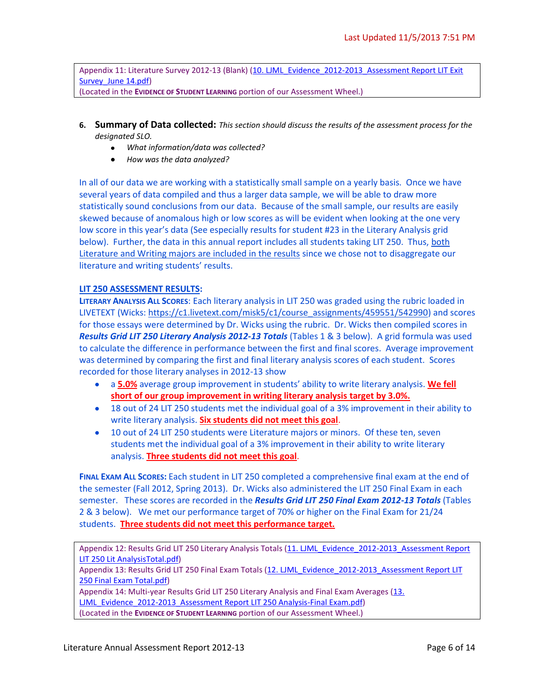Appendix 11: Literature Survey 2012-13 (Blank) (10. LJML Evidence 2012-2013 Assessment Report LIT Exit [Survey\\_June 14.pdf\)](https://portal.pointloma.edu/documents/11178/1463628/10.%20LJML_Evidence_2012-2013_Assessment%20Report%20LIT%20Exit%20Survey_June%2014.pdf)

(Located in the **EVIDENCE OF STUDENT LEARNING** portion of our Assessment Wheel.)

- **6. Summary of Data collected:** *This section should discuss the results of the assessment process for the designated SLO.* 
	- *What information/data was collected?*
	- *How was the data analyzed?*

In all of our data we are working with a statistically small sample on a yearly basis. Once we have several years of data compiled and thus a larger data sample, we will be able to draw more statistically sound conclusions from our data. Because of the small sample, our results are easily skewed because of anomalous high or low scores as will be evident when looking at the one very low score in this year's data (See especially results for student #23 in the Literary Analysis grid below). Further, the data in this annual report includes all students taking LIT 250. Thus, both Literature and Writing majors are included in the results since we chose not to disaggregate our literature and writing students' results.

### **LIT 250 ASSESSMENT RESULTS:**

**LITERARY ANALYSIS ALL SCORES**: Each literary analysis in LIT 250 was graded using the rubric loaded in LIVETEXT (Wicks: [https://c1.livetext.com/misk5/c1/course\\_assignments/459551/542990\)](https://c1.livetext.com/misk5/c1/course_assignments/459551/542990) and scores for those essays were determined by Dr. Wicks using the rubric. Dr. Wicks then compiled scores in *Results Grid LIT 250 Literary Analysis 2012-13 Totals* (Tables 1 & 3 below). A grid formula was used to calculate the difference in performance between the first and final scores. Average improvement was determined by comparing the first and final literary analysis scores of each student. Scores recorded for those literary analyses in 2012-13 show

- a **5.0%** average group improvement in students' ability to write literary analysis. **We fell**   $\bullet$ **short of our group improvement in writing literary analysis target by 3.0%.**
- 18 out of 24 LIT 250 students met the individual goal of a 3% improvement in their ability to write literary analysis. **Six students did not meet this goal**.
- 10 out of 24 LIT 250 students were Literature majors or minors. Of these ten, seven students met the individual goal of a 3% improvement in their ability to write literary analysis. **Three students did not meet this goal**.

**FINAL EXAM ALL SCORES:** Each student in LIT 250 completed a comprehensive final exam at the end of the semester (Fall 2012, Spring 2013). Dr. Wicks also administered the LIT 250 Final Exam in each semester. These scores are recorded in the *Results Grid LIT 250 Final Exam 2012-13 Totals* (Tables 2 & 3 below). We met our performance target of 70% or higher on the Final Exam for 21/24 students. **Three students did not meet this performance target.**

Appendix 12: Results Grid LIT 250 Literary Analysis Totals (11. LJML\_Evidence\_2012-2013\_Assessment Report [LIT 250 Lit AnalysisTotal.pdf\)](https://portal.pointloma.edu/documents/11178/1463628/11.%20LJML_Evidence_2012-2013_Assessment%20Report%20LIT%20250%20Lit%20AnalysisTotal.pdf)

Appendix 13: Results Grid LIT 250 Final Exam Totals (12. LJML\_Evidence\_2012-2013\_Assessment Report LIT [250 Final Exam Total.pdf\)](https://portal.pointloma.edu/documents/11178/1463628/12.%20LJML_Evidence_2012-2013_Assessment%20Report%20LIT%20250%20Final%20Exam%20Total.pdf)

Appendix 14: Multi-year Results Grid LIT 250 Literary Analysis and Final Exam Averages [\(13.](https://portal.pointloma.edu/documents/11178/1463628/13.%20LJML_Evidence_2012-2013_Assessment%20Report%20LIT%20250%20Analysis-Final%20Exam.pdf) 

[LJML\\_Evidence\\_2012-2013\\_Assessment Report LIT 250 Analysis-Final Exam.pdf\)](https://portal.pointloma.edu/documents/11178/1463628/13.%20LJML_Evidence_2012-2013_Assessment%20Report%20LIT%20250%20Analysis-Final%20Exam.pdf)

(Located in the **EVIDENCE OF STUDENT LEARNING** portion of our Assessment Wheel.)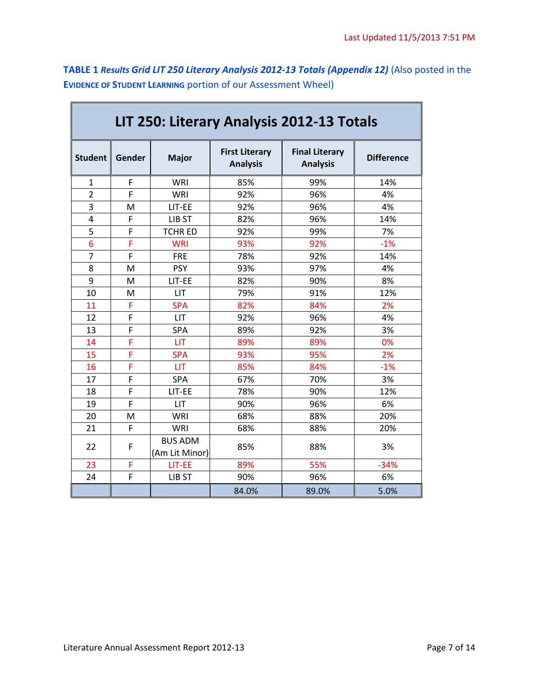**TABLE 1** *Results Grid LIT 250 Literary Analysis 2012-13 Totals (Appendix 12)* (Also posted in the **EVIDENCE OF STUDENT LEARNING** portion of our Assessment Wheel)

| LIT 250: Literary Analysis 2012-13 Totals |        |                                  |                                          |                                          |                   |  |
|-------------------------------------------|--------|----------------------------------|------------------------------------------|------------------------------------------|-------------------|--|
| <b>Student</b>                            | Gender | <b>Major</b>                     | <b>First Literary</b><br><b>Analysis</b> | <b>Final Literary</b><br><b>Analysis</b> | <b>Difference</b> |  |
| 1                                         | F      | WRI                              | 85%                                      | 99%                                      | 14%               |  |
| $\overline{2}$                            | F      | WRI                              | 92%                                      | 96%                                      | 4%                |  |
| 3                                         | M      | LIT-EE                           | 92%                                      | 96%                                      | 4%                |  |
| $\overline{4}$                            | F      | LIB ST                           | 82%                                      | 96%                                      | 14%               |  |
| 5                                         | F      | <b>TCHRED</b>                    | 92%                                      | 99%                                      | 7%                |  |
| 6                                         | Ë      | <b>WRI</b>                       | 93%                                      | 92%                                      | $-1%$             |  |
| $\overline{7}$                            | F      | <b>FRE</b>                       | 78%                                      | 92%                                      | 14%               |  |
| 8                                         | M      | <b>PSY</b>                       | 93%                                      | 97%                                      | 4%                |  |
| 9                                         | M      | LIT-EE                           | 82%                                      | 90%                                      | 8%                |  |
| 10                                        | М      | <b>LIT</b>                       | 79%                                      | 91%                                      | 12%               |  |
| 11                                        | F      | <b>SPA</b>                       | 82%                                      | 84%                                      | 2%                |  |
| 12                                        | F      | LIT                              | 92%                                      | 96%                                      | 4%                |  |
| 13                                        | F      | SPA                              | 89%                                      | 92%                                      | 3%                |  |
| 14                                        | F      | <b>LIT</b>                       | 89%                                      | 89%                                      | 0%                |  |
| 15                                        | F      | <b>SPA</b>                       | 93%                                      | 95%                                      | 2%                |  |
| 16                                        | Ë      | LIT                              | 85%                                      | 84%                                      | $-1%$             |  |
| 17                                        | F      | SPA                              | 67%                                      | 70%                                      | 3%                |  |
| 18                                        | F      | LIT-EE                           | 78%                                      | 90%                                      | 12%               |  |
| 19                                        | F      | LIT                              | 90%                                      | 96%                                      | 6%                |  |
| 20                                        | м      | <b>WRI</b>                       | 68%                                      | 88%                                      | 20%               |  |
| 21                                        | F      | <b>WRI</b>                       | 68%                                      | 88%                                      | 20%               |  |
| 22                                        | F      | <b>BUS ADM</b><br>(Am Lit Minor) | 85%                                      | 88%                                      | 3%                |  |
| 23                                        | F      | LIT-EE                           | 89%                                      | 55%                                      | $-34%$            |  |
| 24                                        | F      | LIB ST                           | 90%                                      | 96%                                      | 6%                |  |
|                                           |        |                                  | 84.0%                                    | 89.0%                                    | 5.0%              |  |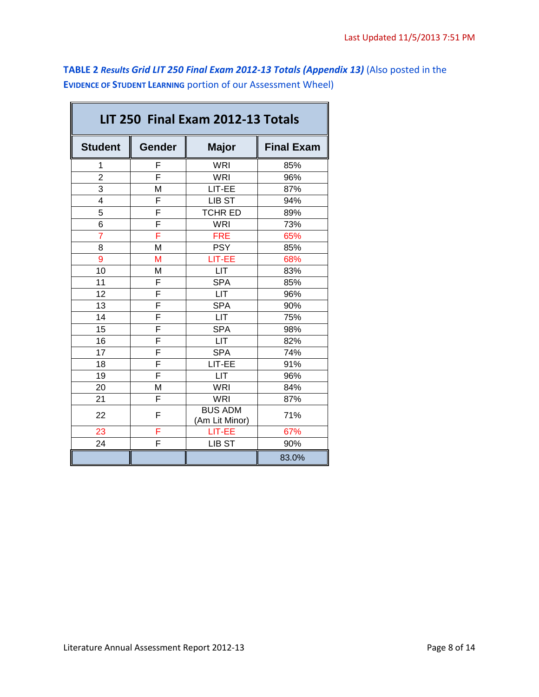**TABLE 2** *Results Grid LIT 250 Final Exam 2012-13 Totals (Appendix 13)* (Also posted in the **EVIDENCE OF STUDENT LEARNING** portion of our Assessment Wheel)

 $\blacksquare$ 

| LIT 250 Final Exam 2012-13 Totals |                         |                                  |                   |  |  |  |
|-----------------------------------|-------------------------|----------------------------------|-------------------|--|--|--|
| <b>Student</b>                    | <b>Gender</b>           | <b>Major</b>                     | <b>Final Exam</b> |  |  |  |
| 1                                 | F                       | <b>WRI</b>                       | 85%               |  |  |  |
| $\overline{2}$                    | F                       | <b>WRI</b>                       | 96%               |  |  |  |
| 3                                 | M                       | LIT-EE                           | 87%               |  |  |  |
| 4                                 | F                       | LIB ST                           | 94%               |  |  |  |
| 5                                 | F                       | <b>TCHR ED</b>                   | 89%               |  |  |  |
| 6                                 | $\overline{\mathsf{F}}$ | <b>WRI</b>                       | 73%               |  |  |  |
| $\overline{7}$                    | Ē                       | <b>FRE</b>                       | 65%               |  |  |  |
| 8                                 | M                       | <b>PSY</b>                       | 85%               |  |  |  |
| 9                                 | M                       | LIT-EE                           | 68%               |  |  |  |
| 10                                | M                       | <b>LIT</b>                       | 83%               |  |  |  |
| 11                                | F                       | <b>SPA</b>                       | 85%               |  |  |  |
| 12                                | F                       | <b>LIT</b>                       | 96%               |  |  |  |
| 13                                | F                       | <b>SPA</b>                       | 90%               |  |  |  |
| 14                                | F                       | <b>LIT</b>                       | 75%               |  |  |  |
| 15                                | F                       | <b>SPA</b>                       | 98%               |  |  |  |
| 16                                | F                       | <b>LIT</b>                       | 82%               |  |  |  |
| 17                                | F                       | <b>SPA</b>                       | 74%               |  |  |  |
| 18                                | F                       | LIT-EE                           | 91%               |  |  |  |
| 19                                | F                       | <b>LIT</b>                       | 96%               |  |  |  |
| 20                                | M                       | <b>WRI</b>                       | 84%               |  |  |  |
| 21                                | F                       | <b>WRI</b>                       | 87%               |  |  |  |
| 22                                | F                       | <b>BUS ADM</b><br>(Am Lit Minor) | 71%               |  |  |  |
| 23                                | F                       | LIT-EE                           | 67%               |  |  |  |
| 24                                | F                       | LIB ST                           | 90%               |  |  |  |
|                                   |                         |                                  | 83.0%             |  |  |  |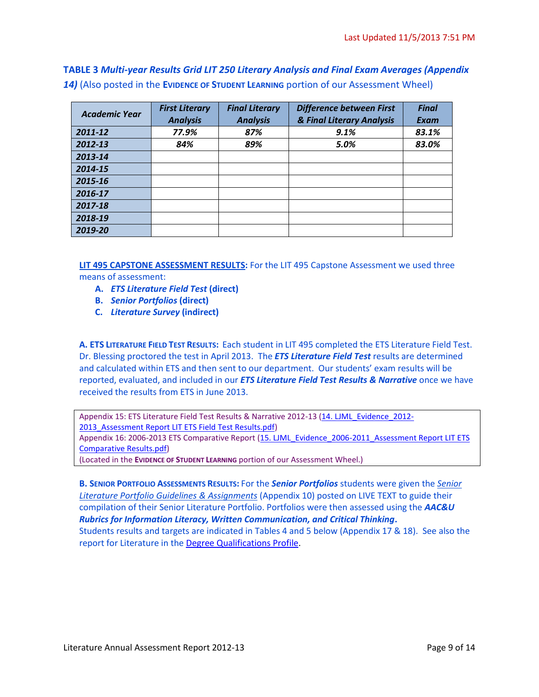**TABLE 3** *Multi-year Results Grid LIT 250 Literary Analysis and Final Exam Averages (Appendix 14)* (Also posted in the **EVIDENCE OF STUDENT LEARNING** portion of our Assessment Wheel)

| <b>Academic Year</b> | <b>First Literary</b> | <b>Difference between First</b><br><b>Final Literary</b> |                           | <b>Final</b> |
|----------------------|-----------------------|----------------------------------------------------------|---------------------------|--------------|
|                      | <b>Analysis</b>       | <b>Analysis</b>                                          | & Final Literary Analysis | <b>Exam</b>  |
| 2011-12              | 77.9%                 | 87%                                                      | 9.1%                      | 83.1%        |
| 2012-13              | 84%                   | 89%                                                      | 5.0%                      | 83.0%        |
| 2013-14              |                       |                                                          |                           |              |
| 2014-15              |                       |                                                          |                           |              |
| 2015-16              |                       |                                                          |                           |              |
| 2016-17              |                       |                                                          |                           |              |
| 2017-18              |                       |                                                          |                           |              |
| 2018-19              |                       |                                                          |                           |              |
| 2019-20              |                       |                                                          |                           |              |

**LIT 495 CAPSTONE ASSESSMENT RESULTS:** For the LIT 495 Capstone Assessment we used three means of assessment:

- **A.** *ETS Literature Field Test* **(direct)**
- **B.** *Senior Portfolios* **(direct)**
- **C.** *Literature Survey* **(indirect)**

**A. ETS LITERATURE FIELD TEST RESULTS:** Each student in LIT 495 completed the ETS Literature Field Test. Dr. Blessing proctored the test in April 2013. The *ETS Literature Field Test* results are determined and calculated within ETS and then sent to our department. Our students' exam results will be reported, evaluated, and included in our *ETS Literature Field Test Results & Narrative* once we have received the results from ETS in June 2013.

Appendix 15: ETS Literature Field Test Results & Narrative 2012-13 [\(14. LJML\\_Evidence\\_2012-](https://portal.pointloma.edu/documents/11178/1463628/14.%20LJML_Evidence_2012-2013_Assessment%20Report%20LIT%20ETS%20Field%20Test%20Results.pdf) 2013 Assessment Report LIT ETS Field Test Results.pdf)

Appendix 16: 2006-2013 ETS Comparative Report (15. LJML\_Evidence\_2006-2011\_Assessment Report LIT ETS [Comparative Results.pdf\)](https://portal.pointloma.edu/documents/11178/1463628/15.%20LJML_Evidence_2006-2011_Assessment%20Report%20LIT%20ETS%20Comparative%20Results.pdf)

(Located in the **EVIDENCE OF STUDENT LEARNING** portion of our Assessment Wheel.)

**B. SENIOR PORTFOLIO ASSESSMENTS RESULTS:** For the *Senior Portfolios* students were given the *Senior Literature Portfolio Guidelines & Assignments* (Appendix 10) posted on LIVE TEXT to guide their compilation of their Senior Literature Portfolio. Portfolios were then assessed using the *AAC&U Rubrics for Information Literacy, Written Communication, and Critical Thinking***.**  Students results and targets are indicated in Tables 4 and 5 below (Appendix 17 & 18). See also the report for Literature in the [Degree Qualifications Profile.](https://portal.pointloma.edu/web/institutional-effectiveness/dqp)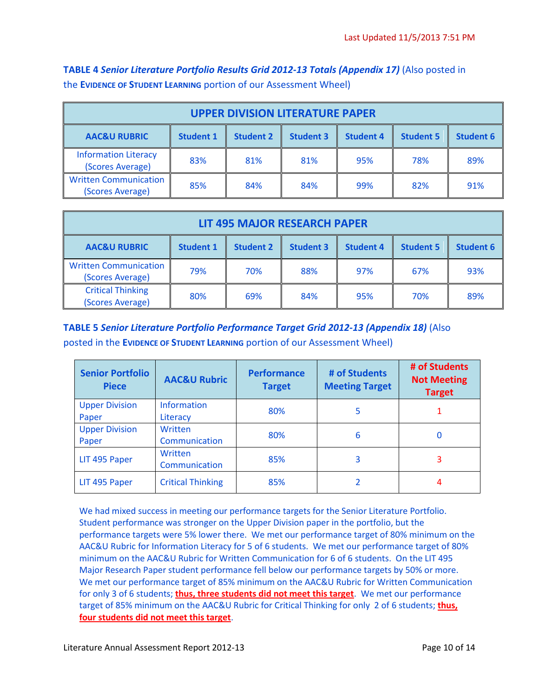**TABLE 4** *Senior Literature Portfolio Results Grid 2012-13 Totals (Appendix 17)* (Also posted in the **EVIDENCE OF STUDENT LEARNING** portion of our Assessment Wheel)

| <b>UPPER DIVISION LITERATURE PAPER</b>                                                                                                          |     |     |     |     |     |     |
|-------------------------------------------------------------------------------------------------------------------------------------------------|-----|-----|-----|-----|-----|-----|
| <b>AAC&amp;U RUBRIC</b><br><b>Student 2</b><br><b>Student 3</b><br><b>Student 6</b><br><b>Student 4</b><br><b>Student 5</b><br><b>Student 1</b> |     |     |     |     |     |     |
| <b>Information Literacy</b><br>(Scores Average)                                                                                                 | 83% | 81% | 81% | 95% | 78% | 89% |
| <b>Written Communication</b><br>(Scores Average)                                                                                                | 85% | 84% | 84% | 99% | 82% | 91% |

| <b>LIT 495 MAJOR RESEARCH PAPER</b>                                                                                                             |     |     |     |     |     |     |  |
|-------------------------------------------------------------------------------------------------------------------------------------------------|-----|-----|-----|-----|-----|-----|--|
| <b>AAC&amp;U RUBRIC</b><br><b>Student 2</b><br><b>Student 3</b><br><b>Student 6</b><br><b>Student 4</b><br><b>Student 5</b><br><b>Student 1</b> |     |     |     |     |     |     |  |
| <b>Written Communication</b><br>(Scores Average)                                                                                                | 79% | 70% | 88% | 97% | 67% | 93% |  |
| <b>Critical Thinking</b><br>89%<br>80%<br>69%<br>95%<br>84%<br>70%<br>(Scores Average)                                                          |     |     |     |     |     |     |  |

**TABLE 5** *Senior Literature Portfolio Performance Target Grid 2012-13 (Appendix 18)* (Also posted in the **EVIDENCE OF STUDENT LEARNING** portion of our Assessment Wheel)

| <b>Senior Portfolio</b><br><b>Piece</b> | <b>AAC&amp;U Rubric</b>        | <b>Performance</b><br><b>Target</b> | # of Students<br><b>Meeting Target</b> | # of Students<br><b>Not Meeting</b><br><b>Target</b> |
|-----------------------------------------|--------------------------------|-------------------------------------|----------------------------------------|------------------------------------------------------|
| <b>Upper Division</b><br>Paper          | <b>Information</b><br>Literacy | 80%                                 | 5                                      |                                                      |
| <b>Upper Division</b><br>Paper          | Written<br>Communication       | 80%                                 | 6                                      | O                                                    |
| LIT 495 Paper                           | Written<br>Communication       | 85%                                 | 3                                      | 3                                                    |
| LIT 495 Paper                           | <b>Critical Thinking</b>       | 85%                                 |                                        | 4                                                    |

We had mixed success in meeting our performance targets for the Senior Literature Portfolio. Student performance was stronger on the Upper Division paper in the portfolio, but the performance targets were 5% lower there. We met our performance target of 80% minimum on the AAC&U Rubric for Information Literacy for 5 of 6 students. We met our performance target of 80% minimum on the AAC&U Rubric for Written Communication for 6 of 6 students. On the LIT 495 Major Research Paper student performance fell below our performance targets by 50% or more. We met our performance target of 85% minimum on the AAC&U Rubric for Written Communication for only 3 of 6 students; **thus, three students did not meet this target**. We met our performance target of 85% minimum on the AAC&U Rubric for Critical Thinking for only 2 of 6 students; **thus, four students did not meet this target**.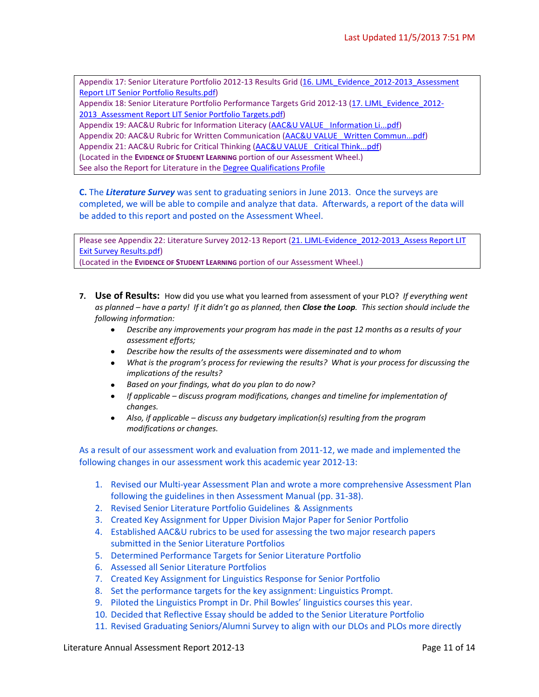Appendix 17: Senior Literature Portfolio 2012-13 Results Grid (16. LJML\_Evidence\_2012-2013\_Assessment [Report LIT Senior Portfolio Results.pdf\)](https://portal.pointloma.edu/documents/11178/1463628/16.%20LJML_Evidence_2012-2013_Assessment%20Report%20LIT%20Senior%20Portfolio%20Results.pdf)

Appendix 18: Senior Literature Portfolio Performance Targets Grid 2012-13 [\(17. LJML\\_Evidence\\_2012-](https://portal.pointloma.edu/documents/11178/1463628/17.%20LJML_Evidence_2012-2013_Assessment%20Report%20LIT%20Senior%20Portfolio%20Targets.pdf) [2013\\_Assessment Report LIT Senior Portfolio Targets.pdf\)](https://portal.pointloma.edu/documents/11178/1463628/17.%20LJML_Evidence_2012-2013_Assessment%20Report%20LIT%20Senior%20Portfolio%20Targets.pdf)

Appendix 19: AAC&U Rubric for Information Literacy [\(AAC&U VALUE\\_ Information Li...pdf\)](https://portal.pointloma.edu/documents/11178/592311/AAC%26U%20VALUE_%20Information%20Li...pdf)

Appendix 20: AAC&U Rubric for Written Communication [\(AAC&U VALUE\\_ Written Commun...pdf\)](https://portal.pointloma.edu/documents/11178/592311/AAC%26U%20VALUE_%20Written%20Commun...pdf)

Appendix 21: AAC&U Rubric for Critical Thinking [\(AAC&U VALUE\\_ Critical Think...pdf\)](https://portal.pointloma.edu/documents/11178/592311/AAC%26U%20VALUE_%20Critical%20Think...pdf)

(Located in the **EVIDENCE OF STUDENT LEARNING** portion of our Assessment Wheel.)

See also the Report for Literature in th[e Degree Qualifications Profile](https://portal.pointloma.edu/web/institutional-effectiveness/dqp)

**C.** The *Literature Survey* was sent to graduating seniors in June 2013. Once the surveys are completed, we will be able to compile and analyze that data. Afterwards, a report of the data will be added to this report and posted on the Assessment Wheel.

Please see Appendix 22: Literature Survey 2012-13 Report (21. LJML-Evidence 2012-2013 Assess Report LIT [Exit Survey Results.pdf\)](https://portal.pointloma.edu/documents/11178/1463628/21.%20LJML-Evidence_2012-2013_Assess%20Report%20LIT%20Exit%20Survey%20Results.pdf)

(Located in the **EVIDENCE OF STUDENT LEARNING** portion of our Assessment Wheel.)

- **7. Use of Results:** How did you use what you learned from assessment of your PLO?*If everything went as planned – have a party! If it didn't go as planned, then Close the Loop. This section should include the following information:*
	- *Describe any improvements your program has made in the past 12 months as a results of your assessment efforts;*
	- *Describe how the results of the assessments were disseminated and to whom*
	- *What is the program's process for reviewing the results? What is your process for discussing the*   $\bullet$ *implications of the results?*
	- *Based on your findings, what do you plan to do now?*
	- *If applicable – discuss program modifications, changes and timeline for implementation of changes.*
	- *Also, if applicable – discuss any budgetary implication(s) resulting from the program modifications or changes.*

As a result of our assessment work and evaluation from 2011-12, we made and implemented the following changes in our assessment work this academic year 2012-13:

- 1. Revised our Multi-year Assessment Plan and wrote a more comprehensive Assessment Plan following the guidelines in then Assessment Manual (pp. 31-38).
- 2. Revised Senior Literature Portfolio Guidelines & Assignments
- 3. Created Key Assignment for Upper Division Major Paper for Senior Portfolio
- 4. Established AAC&U rubrics to be used for assessing the two major research papers submitted in the Senior Literature Portfolios
- 5. Determined Performance Targets for Senior Literature Portfolio
- 6. Assessed all Senior Literature Portfolios
- 7. Created Key Assignment for Linguistics Response for Senior Portfolio
- 8. Set the performance targets for the key assignment: Linguistics Prompt.
- 9. Piloted the Linguistics Prompt in Dr. Phil Bowles' linguistics courses this year.
- 10. Decided that Reflective Essay should be added to the Senior Literature Portfolio
- 11. Revised Graduating Seniors/Alumni Survey to align with our DLOs and PLOs more directly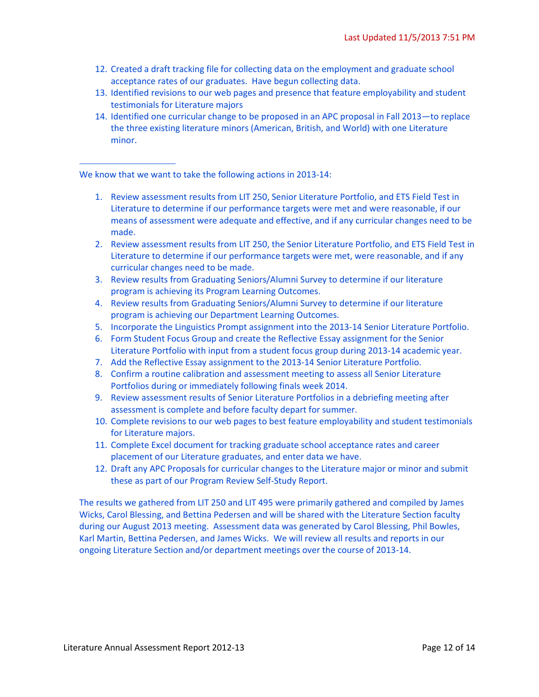- 12. Created a draft tracking file for collecting data on the employment and graduate school acceptance rates of our graduates. Have begun collecting data.
- 13. Identified revisions to our web pages and presence that feature employability and student testimonials for Literature majors
- 14. Identified one curricular change to be proposed in an APC proposal in Fall 2013—to replace the three existing literature minors (American, British, and World) with one Literature minor.

We know that we want to take the following actions in 2013-14:

- 1. Review assessment results from LIT 250, Senior Literature Portfolio, and ETS Field Test in Literature to determine if our performance targets were met and were reasonable, if our means of assessment were adequate and effective, and if any curricular changes need to be made.
- 2. Review assessment results from LIT 250, the Senior Literature Portfolio, and ETS Field Test in Literature to determine if our performance targets were met, were reasonable, and if any curricular changes need to be made.
- 3. Review results from Graduating Seniors/Alumni Survey to determine if our literature program is achieving its Program Learning Outcomes.
- 4. Review results from Graduating Seniors/Alumni Survey to determine if our literature program is achieving our Department Learning Outcomes.
- 5. Incorporate the Linguistics Prompt assignment into the 2013-14 Senior Literature Portfolio.
- 6. Form Student Focus Group and create the Reflective Essay assignment for the Senior Literature Portfolio with input from a student focus group during 2013-14 academic year.
- 7. Add the Reflective Essay assignment to the 2013-14 Senior Literature Portfolio.
- 8. Confirm a routine calibration and assessment meeting to assess all Senior Literature Portfolios during or immediately following finals week 2014.
- 9. Review assessment results of Senior Literature Portfolios in a debriefing meeting after assessment is complete and before faculty depart for summer.
- 10. Complete revisions to our web pages to best feature employability and student testimonials for Literature majors.
- 11. Complete Excel document for tracking graduate school acceptance rates and career placement of our Literature graduates, and enter data we have.
- 12. Draft any APC Proposals for curricular changes to the Literature major or minor and submit these as part of our Program Review Self-Study Report.

The results we gathered from LIT 250 and LIT 495 were primarily gathered and compiled by James Wicks, Carol Blessing, and Bettina Pedersen and will be shared with the Literature Section faculty during our August 2013 meeting. Assessment data was generated by Carol Blessing, Phil Bowles, Karl Martin, Bettina Pedersen, and James Wicks. We will review all results and reports in our ongoing Literature Section and/or department meetings over the course of 2013-14.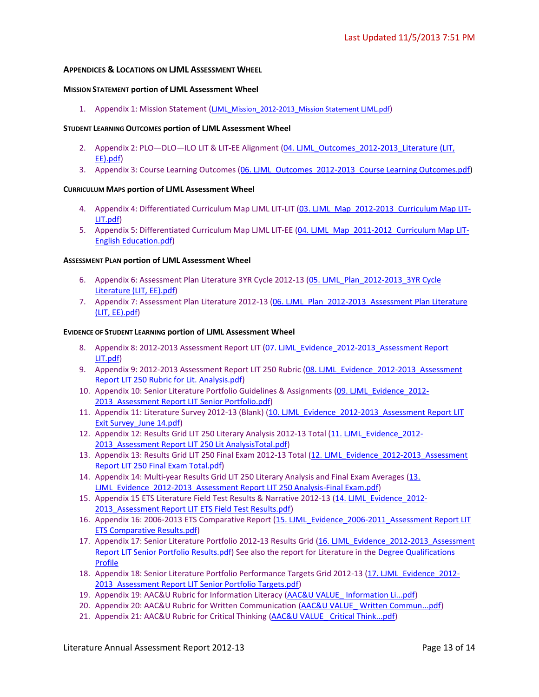#### **APPENDICES & LOCATIONS ON LJML ASSESSMENT WHEEL**

#### **MISSION STATEMENT portion of LJML Assessment Wheel**

1. Appendix 1: Mission Statement ([LJML\\_Mission\\_2012-2013\\_Mission Statement LJML.pdf](https://portal.pointloma.edu/documents/11178/1463624/LJML_Mission_2012-2013_Mission%20Statement%20LJML.pdf))

#### **STUDENT LEARNING OUTCOMES portion of LJML Assessment Wheel**

- 2. Appendix 2: PLO-DLO-ILO LIT & LIT-EE Alignment (04. LJML Outcomes 2012-2013 Literature (LIT, [EE\).pdf\)](https://portal.pointloma.edu/documents/11178/1463625/04.%20LJML_Outcomes_2012-2013_Literature%20%28LIT%2c%20EE%29.pdf)
- 3. Appendix 3: Course Learning Outcomes [\(06. LJML\\_Outcomes\\_2012-2013\\_Course Learning Outcomes.pdf\)](https://portal.pointloma.edu/documents/11178/1463625/06.%20LJML_Outcomes_2012-2013_Course%20Learning%20Outcomes.pdf)

#### **CURRICULUM MAPS portion of LJML Assessment Wheel**

- 4. Appendix 4: Differentiated Curriculum Map LJML LIT-LIT [\(03. LJML\\_Map\\_2012-2013\\_Curriculum Map LIT-](https://portal.pointloma.edu/documents/11178/1463626/03.%20LJML_Map_2012-2013_Curriculum%20Map%20LIT-LIT.pdf)[LIT.pdf\)](https://portal.pointloma.edu/documents/11178/1463626/03.%20LJML_Map_2012-2013_Curriculum%20Map%20LIT-LIT.pdf)
- 5. Appendix 5: Differentiated Curriculum Map LJML LIT-EE [\(04. LJML\\_Map\\_2011-2012\\_Curriculum Map LIT-](https://portal.pointloma.edu/documents/11178/1463626/04.%20LJML_Map_2011-2012_Curriculum%20Map%20LIT-English%20Education.pdf)[English Education.pdf\)](https://portal.pointloma.edu/documents/11178/1463626/04.%20LJML_Map_2011-2012_Curriculum%20Map%20LIT-English%20Education.pdf)

#### **ASSESSMENT PLAN portion of LJML Assessment Wheel**

- 6. Appendix 6: Assessment Plan Literature 3YR Cycle 2012-13 (05. LJML\_Plan\_2012-2013\_3YR Cycle [Literature \(LIT, EE\).pdf\)](https://portal.pointloma.edu/documents/11178/1463627/05.%20LJML_Plan_2012-2013_3YR%20Cycle%20Literature%20%28LIT%2c%20EE%29.pdf)
- 7. Appendix 7: Assessment Plan Literature 2012-13 (06. LJML\_Plan\_2012-2013\_Assessment Plan Literature [\(LIT, EE\).pdf\)](https://portal.pointloma.edu/documents/11178/1463627/06.%20LJML_Plan_2012-2013_Assessment%20Plan%20Literature%20%28LIT%2c%20EE%29.pdf)

#### **EVIDENCE OF STUDENT LEARNING portion of LJML Assessment Wheel**

- 8. Appendix 8: 2012-2013 Assessment Report LIT (07. LIML Evidence 2012-2013 Assessment Report [LIT.pdf\)](https://portal.pointloma.edu/documents/11178/1463628/07.%20LJML_Evidence_2012-2013_Assessment%20Report%20LIT.pdf)
- 9. Appendix 9: 2012-2013 Assessment Report LIT 250 Rubric (08. LJML Evidence 2012-2013 Assessment [Report LIT 250 Rubric for Lit. Analysis.pdf\)](https://portal.pointloma.edu/documents/11178/1463628/08.%20LJML_Evidence_2012-2013_Assessment%20Report%20LIT%20250%20Rubric%20for%20Lit.%20Analysis.pdf)
- 10. Appendix 10: Senior Literature Portfolio Guidelines & Assignments [\(09. LJML\\_Evidence\\_2012-](https://portal.pointloma.edu/documents/11178/1463628/09.%20LJML_Evidence_2012-2013_Assessment%20Report%20LIT%20Senior%20Portfolio.pdf) 2013 Assessment Report LIT Senior Portfolio.pdf)
- 11. Appendix 11: Literature Survey 2012-13 (Blank) [\(10. LJML\\_Evidence\\_2012-2013\\_Assessment Report LIT](https://portal.pointloma.edu/documents/11178/1463628/10.%20LJML_Evidence_2012-2013_Assessment%20Report%20LIT%20Exit%20Survey_June%2014.pdf)  [Exit Survey\\_June 14.pdf\)](https://portal.pointloma.edu/documents/11178/1463628/10.%20LJML_Evidence_2012-2013_Assessment%20Report%20LIT%20Exit%20Survey_June%2014.pdf)
- 12. Appendix 12: Results Grid LIT 250 Literary Analysis 2012-13 Total [\(11. LJML\\_Evidence\\_2012-](https://portal.pointloma.edu/documents/11178/1463628/11.%20LJML_Evidence_2012-2013_Assessment%20Report%20LIT%20250%20Lit%20AnalysisTotal.pdf) 2013 Assessment Report LIT 250 Lit AnalysisTotal.pdf)
- 13. Appendix 13: Results Grid LIT 250 Final Exam 2012-13 Total (12. LJML\_Evidence\_2012-2013\_Assessment [Report LIT 250 Final Exam Total.pdf\)](https://portal.pointloma.edu/documents/11178/1463628/12.%20LJML_Evidence_2012-2013_Assessment%20Report%20LIT%20250%20Final%20Exam%20Total.pdf)
- 14. Appendix 14: Multi-year Results Grid LIT 250 Literary Analysis and Final Exam Averages [\(13.](https://portal.pointloma.edu/documents/11178/1463628/13.%20LJML_Evidence_2012-2013_Assessment%20Report%20LIT%20250%20Analysis-Final%20Exam.pdf)  [LJML\\_Evidence\\_2012-2013\\_Assessment Report LIT 250 Analysis-Final Exam.pdf\)](https://portal.pointloma.edu/documents/11178/1463628/13.%20LJML_Evidence_2012-2013_Assessment%20Report%20LIT%20250%20Analysis-Final%20Exam.pdf)
- 15. Appendix 15 ETS Literature Field Test Results & Narrative 2012-13 (14. LJML Evidence 2012-2013 Assessment Report LIT ETS Field Test Results.pdf)
- 16. Appendix 16: 2006-2013 ETS Comparative Report [\(15. LJML\\_Evidence\\_2006-2011\\_Assessment Report LIT](https://portal.pointloma.edu/documents/11178/1463628/15.%20LJML_Evidence_2006-2011_Assessment%20Report%20LIT%20ETS%20Comparative%20Results.pdf)  [ETS Comparative Results.pdf\)](https://portal.pointloma.edu/documents/11178/1463628/15.%20LJML_Evidence_2006-2011_Assessment%20Report%20LIT%20ETS%20Comparative%20Results.pdf)
- 17. Appendix 17: Senior Literature Portfolio 2012-13 Results Grid (16. LJML\_Evidence\_2012-2013\_Assessment [Report LIT Senior Portfolio Results.pdf\)](https://portal.pointloma.edu/documents/11178/1463628/16.%20LJML_Evidence_2012-2013_Assessment%20Report%20LIT%20Senior%20Portfolio%20Results.pdf) See also the report for Literature in the Degree Qualifications [Profile](https://portal.pointloma.edu/web/institutional-effectiveness/dqp)
- 18. Appendix 18: Senior Literature Portfolio Performance Targets Grid 2012-13 [\(17. LJML\\_Evidence\\_2012-](https://portal.pointloma.edu/documents/11178/1463628/17.%20LJML_Evidence_2012-2013_Assessment%20Report%20LIT%20Senior%20Portfolio%20Targets.pdf) 2013 Assessment Report LIT Senior Portfolio Targets.pdf)
- 19. Appendix 19: AAC&U Rubric for Information Literacy [\(AAC&U VALUE\\_ Information Li...pdf\)](https://portal.pointloma.edu/documents/11178/592311/AAC%26U%20VALUE_%20Information%20Li...pdf)
- 20. Appendix 20: AAC&U Rubric for Written Communication [\(AAC&U VALUE\\_ Written Commun...pdf\)](https://portal.pointloma.edu/documents/11178/592311/AAC%26U%20VALUE_%20Written%20Commun...pdf)
- 21. Appendix 21: AAC&U Rubric for Critical Thinking [\(AAC&U VALUE\\_ Critical Think...pdf\)](https://portal.pointloma.edu/documents/11178/592311/AAC%26U%20VALUE_%20Critical%20Think...pdf)